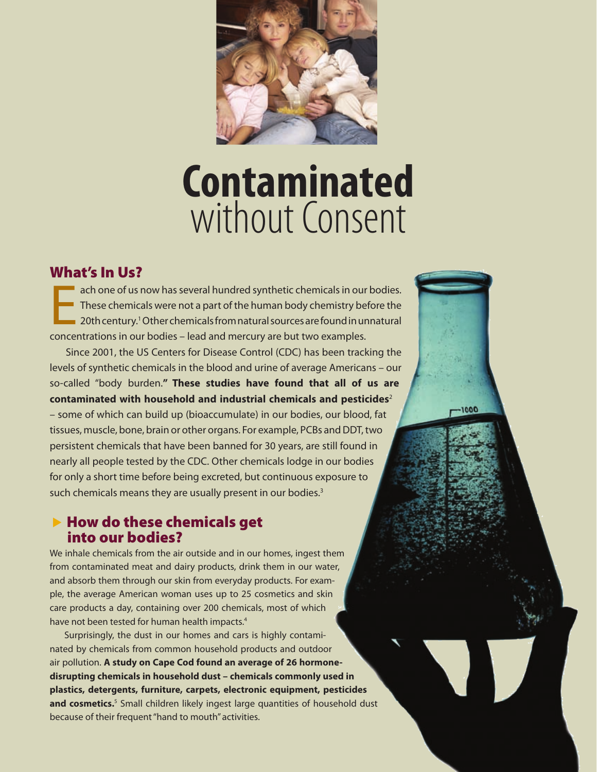

# **Contaminated** without Consent

1000

#### What's In Us?

E ach one of us now has several hundred synthetic chemicals in our bodies. These chemicals were not a part of the human body chemistry before the 20th century.<sup>1</sup> Other chemicals from natural sources are found in unnatural concentrations in our bodies – lead and mercury are but two examples.

 Since 2001, the US Centers for Disease Control (CDC) has been tracking the levels of synthetic chemicals in the blood and urine of average Americans – our so-called "body burden.**" These studies have found that all of us are contaminated with household and industrial chemicals and pesticides**<sup>2</sup> – some of which can build up (bioaccumulate) in our bodies, our blood, fat tissues, muscle, bone, brain or other organs. For example, PCBs and DDT, two persistent chemicals that have been banned for 30 years, are still found in nearly all people tested by the CDC. Other chemicals lodge in our bodies for only a short time before being excreted, but continuous exposure to such chemicals means they are usually present in our bodies.<sup>3</sup>

#### $\blacktriangleright$  How do these chemicals get into our bodies?

We inhale chemicals from the air outside and in our homes, ingest them from contaminated meat and dairy products, drink them in our water, and absorb them through our skin from everyday products. For example, the average American woman uses up to 25 cosmetics and skin care products a day, containing over 200 chemicals, most of which have not been tested for human health impacts.<sup>4</sup>

 Surprisingly, the dust in our homes and cars is highly contaminated by chemicals from common household products and outdoor air pollution. **A study on Cape Cod found an average of 26 hormonedisrupting chemicals in household dust – chemicals commonly used in plastics, detergents, furniture, carpets, electronic equipment, pesticides**  and cosmetics.<sup>5</sup> Small children likely ingest large quantities of household dust because of their frequent "hand to mouth" activities.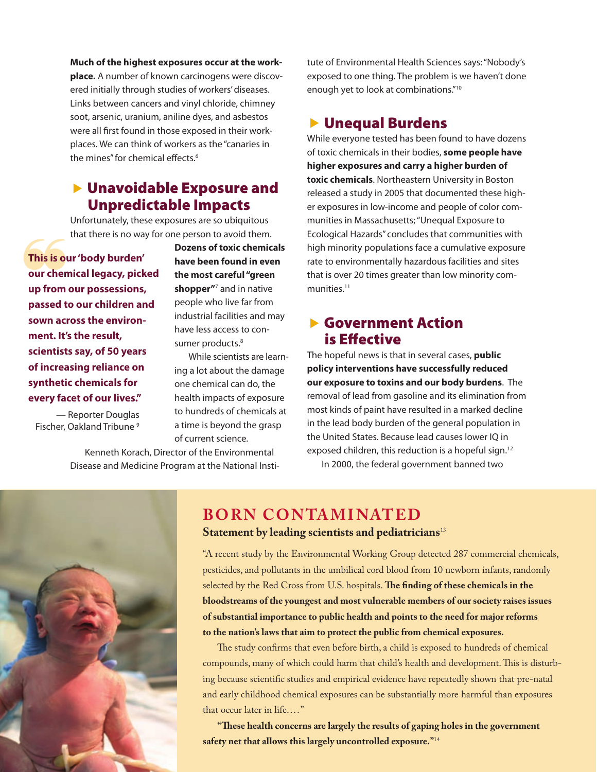**Much of the highest exposures occur at the workplace.** A number of known carcinogens were discovered initially through studies of workers' diseases. Links between cancers and vinyl chloride, chimney soot, arsenic, uranium, aniline dyes, and asbestos were all first found in those exposed in their workplaces. We can think of workers as the "canaries in the mines" for chemical effects.<sup>6</sup>

#### $\blacktriangleright$  Unavoidable Exposure and Unpredictable Impacts

Unfortunately, these exposures are so ubiquitous that there is no way for one person to avoid them.

This is of<br>our chen<br>up from **This is our 'body burden' our chemical legacy, picked up from our possessions, passed to our children and sown across the environment. It's the result, scientists say, of 50 years of increasing reliance on synthetic chemicals for every facet of our lives."** 

— Reporter Douglas Fischer, Oakland Tribune<sup>9</sup>

**Dozens of toxic chemicals have been found in even the most careful "green shopper"**<sup>7</sup> and in native people who live far from industrial facilities and may have less access to consumer products.<sup>8</sup>

 While scientists are learning a lot about the damage one chemical can do, the health impacts of exposure to hundreds of chemicals at a time is beyond the grasp of current science.

 Kenneth Korach, Director of the Environmental Disease and Medicine Program at the National Institute of Environmental Health Sciences says: "Nobody's exposed to one thing. The problem is we haven't done enough yet to look at combinations."10

#### ▶ Unequal Burdens

While everyone tested has been found to have dozens of toxic chemicals in their bodies, **some people have higher exposures and carry a higher burden of toxic chemicals**. Northeastern University in Boston released a study in 2005 that documented these higher exposures in low-income and people of color communities in Massachusetts; "Unequal Exposure to Ecological Hazards" concludes that communities with high minority populations face a cumulative exposure rate to environmentally hazardous facilities and sites that is over 20 times greater than low minority communities.<sup>11</sup>

#### **Sovernment Action** is Effective

The hopeful news is that in several cases, **public policy interventions have successfully reduced our exposure to toxins and our body burdens**. The removal of lead from gasoline and its elimination from most kinds of paint have resulted in a marked decline in the lead body burden of the general population in the United States. Because lead causes lower IQ in exposed children, this reduction is a hopeful sign.<sup>12</sup>

In 2000, the federal government banned two



#### **BORN CONTAMINATED Statement by leading scientists and pediatricians**<sup>13</sup>

"A recent study by the Environmental Working Group detected 287 commercial chemicals, pesticides, and pollutants in the umbilical cord blood from 10 newborn infants, randomly selected by the Red Cross from U.S. hospitals. **The finding of these chemicals in the bloodstreams of the youngest and most vulnerable members of our society raises issues of substantial importance to public health and points to the need for major reforms to the nation's laws that aim to protect the public from chemical exposures.**

The study confirms that even before birth, a child is exposed to hundreds of chemical compounds, many of which could harm that child's health and development. This is disturbing because scientific studies and empirical evidence have repeatedly shown that pre-natal and early childhood chemical exposures can be substantially more harmful than exposures that occur later in life...."

**"These health concerns are largely the results of gaping holes in the government safety net that allows this largely uncontrolled exposure."**14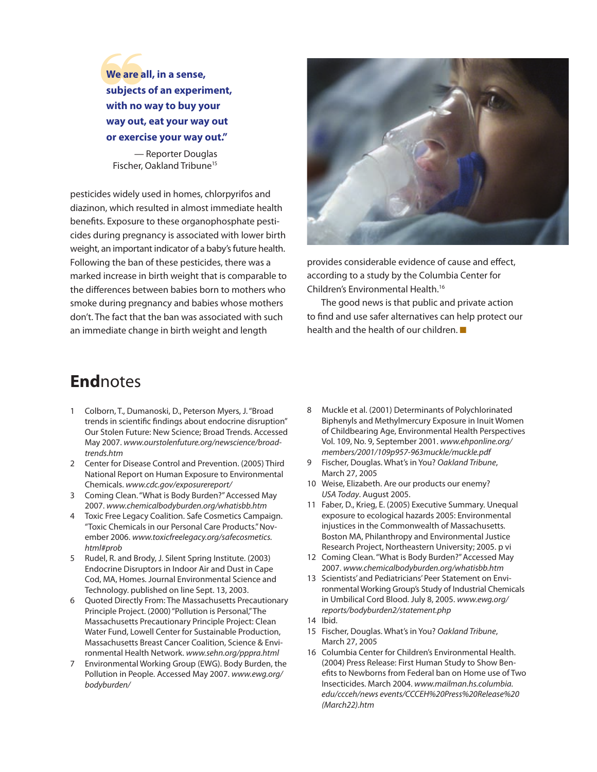We are a<br>subjects<br>with no **We are all, in a sense, subjects of an experiment, with no way to buy your way out, eat your way out or exercise your way out."**

— Reporter Douglas Fischer, Oakland Tribune<sup>15</sup>

pesticides widely used in homes, chlorpyrifos and diazinon, which resulted in almost immediate health benefits. Exposure to these organophosphate pesticides during pregnancy is associated with lower birth weight, an important indicator of a baby's future health. Following the ban of these pesticides, there was a marked increase in birth weight that is comparable to the differences between babies born to mothers who smoke during pregnancy and babies whose mothers don't. The fact that the ban was associated with such an immediate change in birth weight and length



provides considerable evidence of cause and effect, according to a study by the Columbia Center for Children's Environmental Health.16

 The good news is that public and private action to find and use safer alternatives can help protect our health and the health of our children.  $\blacksquare$ 

### **End**notes

- 1 Colborn, T., Dumanoski, D., Peterson Myers, J. "Broad trends in scientific findings about endocrine disruption" Our Stolen Future: New Science; Broad Trends. Accessed May 2007. *www.ourstolenfuture.org/newscience/broadtrends.htm*
- 2 Center for Disease Control and Prevention. (2005) Third National Report on Human Exposure to Environmental Chemicals. *www.cdc.gov/exposurereport/*
- 3 Coming Clean. "What is Body Burden?" Accessed May 2007. *www.chemicalbodyburden.org/whatisbb.htm*
- 4 Toxic Free Legacy Coalition. Safe Cosmetics Campaign. "Toxic Chemicals in our Personal Care Products." November 2006. *www.toxicfreelegacy.org/safecosmetics. html#prob*
- 5 Rudel, R. and Brody, J. Silent Spring Institute. (2003) Endocrine Disruptors in Indoor Air and Dust in Cape Cod, MA, Homes. Journal Environmental Science and Technology. published on line Sept. 13, 2003.
- 6 Quoted Directly From: The Massachusetts Precautionary Principle Project. (2000) "Pollution is Personal," The Massachusetts Precautionary Principle Project: Clean Water Fund, Lowell Center for Sustainable Production, Massachusetts Breast Cancer Coalition, Science & Environmental Health Network. *www.sehn.org/pppra.html*
- 7 Environmental Working Group (EWG). Body Burden, the Pollution in People. Accessed May 2007. *www.ewg.org/ bodyburden/*
- 8 Muckle et al. (2001) Determinants of Polychlorinated Biphenyls and Methylmercury Exposure in Inuit Women of Childbearing Age, Environmental Health Perspectives Vol. 109, No. 9, September 2001. *www.ehponline.org/ members/2001/109p957-963muckle/muckle.pdf*
- 9 Fischer, Douglas. What's in You? *Oakland Tribune*, March 27, 2005
- 10 Weise, Elizabeth. Are our products our enemy? *USA Today*. August 2005.
- 11 Faber, D., Krieg, E. (2005) Executive Summary. Unequal exposure to ecological hazards 2005: Environmental injustices in the Commonwealth of Massachusetts. Boston MA, Philanthropy and Environmental Justice Research Project, Northeastern University; 2005. p vi
- 12 Coming Clean. "What is Body Burden?" Accessed May 2007. *www.chemicalbodyburden.org/whatisbb.htm*
- 13 Scientists' and Pediatricians' Peer Statement on Environmental Working Group's Study of Industrial Chemicals in Umbilical Cord Blood. July 8, 2005. *www.ewg.org/ reports/bodyburden2/statement.php*
- 14 Ibid.
- 15 Fischer, Douglas. What's in You? *Oakland Tribune*, March 27, 2005
- 16 Columbia Center for Children's Environmental Health. (2004) Press Release: First Human Study to Show Benefits to Newborns from Federal ban on Home use of Two Insecticides. March 2004. *www.mailman.hs.columbia. edu/ccceh/news events/CCCEH%20Press%20Release%20 (March22).htm*